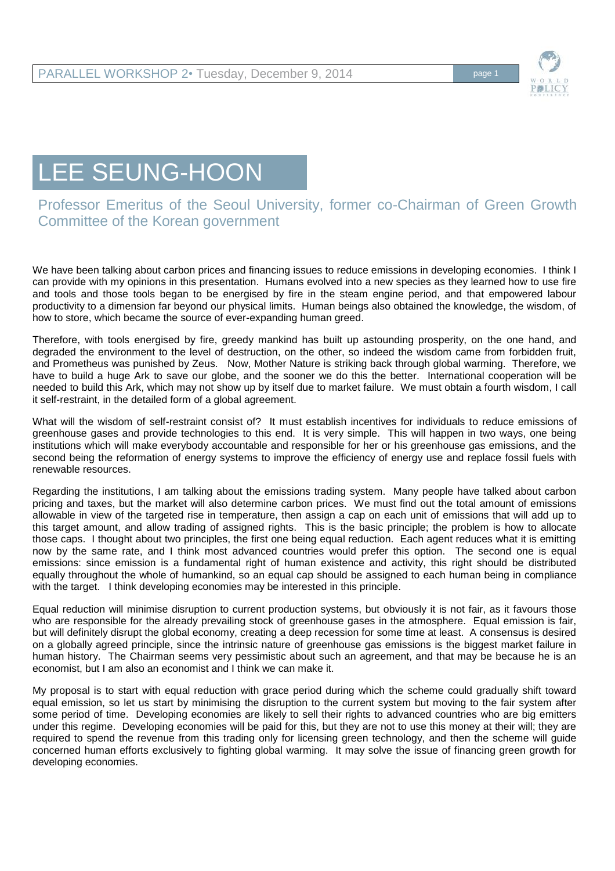

## LEE SEUNG-HOON

Professor Emeritus of the Seoul University, former co-Chairman of Green Growth Committee of the Korean government

We have been talking about carbon prices and financing issues to reduce emissions in developing economies. I think I can provide with my opinions in this presentation. Humans evolved into a new species as they learned how to use fire and tools and those tools began to be energised by fire in the steam engine period, and that empowered labour productivity to a dimension far beyond our physical limits. Human beings also obtained the knowledge, the wisdom, of how to store, which became the source of ever-expanding human greed.

Therefore, with tools energised by fire, greedy mankind has built up astounding prosperity, on the one hand, and degraded the environment to the level of destruction, on the other, so indeed the wisdom came from forbidden fruit, and Prometheus was punished by Zeus. Now, Mother Nature is striking back through global warming. Therefore, we have to build a huge Ark to save our globe, and the sooner we do this the better. International cooperation will be needed to build this Ark, which may not show up by itself due to market failure. We must obtain a fourth wisdom, I call it self-restraint, in the detailed form of a global agreement.

What will the wisdom of self-restraint consist of? It must establish incentives for individuals to reduce emissions of greenhouse gases and provide technologies to this end. It is very simple. This will happen in two ways, one being institutions which will make everybody accountable and responsible for her or his greenhouse gas emissions, and the second being the reformation of energy systems to improve the efficiency of energy use and replace fossil fuels with renewable resources.

Regarding the institutions, I am talking about the emissions trading system. Many people have talked about carbon pricing and taxes, but the market will also determine carbon prices. We must find out the total amount of emissions allowable in view of the targeted rise in temperature, then assign a cap on each unit of emissions that will add up to this target amount, and allow trading of assigned rights. This is the basic principle; the problem is how to allocate those caps. I thought about two principles, the first one being equal reduction. Each agent reduces what it is emitting now by the same rate, and I think most advanced countries would prefer this option. The second one is equal emissions: since emission is a fundamental right of human existence and activity, this right should be distributed equally throughout the whole of humankind, so an equal cap should be assigned to each human being in compliance with the target. I think developing economies may be interested in this principle.

Equal reduction will minimise disruption to current production systems, but obviously it is not fair, as it favours those who are responsible for the already prevailing stock of greenhouse gases in the atmosphere. Equal emission is fair, but will definitely disrupt the global economy, creating a deep recession for some time at least. A consensus is desired on a globally agreed principle, since the intrinsic nature of greenhouse gas emissions is the biggest market failure in human history. The Chairman seems very pessimistic about such an agreement, and that may be because he is an economist, but I am also an economist and I think we can make it.

My proposal is to start with equal reduction with grace period during which the scheme could gradually shift toward equal emission, so let us start by minimising the disruption to the current system but moving to the fair system after some period of time. Developing economies are likely to sell their rights to advanced countries who are big emitters under this regime. Developing economies will be paid for this, but they are not to use this money at their will; they are required to spend the revenue from this trading only for licensing green technology, and then the scheme will guide concerned human efforts exclusively to fighting global warming. It may solve the issue of financing green growth for developing economies.